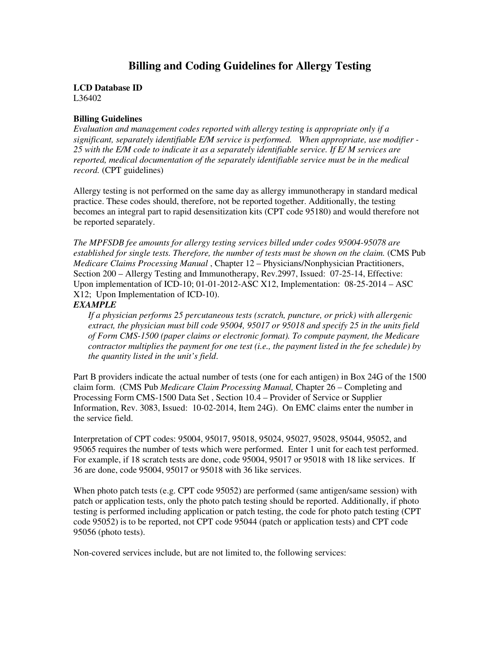# **Billing and Coding Guidelines for Allergy Testing**

**LCD Database ID**  L36402

### **Billing Guidelines**

*Evaluation and management codes reported with allergy testing is appropriate only if a significant, separately identifiable E/M service is performed. When appropriate, use modifier - 25 with the E/M code to indicate it as a separately identifiable service. If E/ M services are reported, medical documentation of the separately identifiable service must be in the medical record.* (CPT guidelines)

Allergy testing is not performed on the same day as allergy immunotherapy in standard medical practice. These codes should, therefore, not be reported together. Additionally, the testing becomes an integral part to rapid desensitization kits (CPT code 95180) and would therefore not be reported separately.

*The MPFSDB fee amounts for allergy testing services billed under codes 95004-95078 are established for single tests. Therefore, the number of tests must be shown on the claim.* (CMS Pub *Medicare Claims Processing Manual* , Chapter 12 – Physicians/Nonphysician Practitioners, Section 200 – Allergy Testing and Immunotherapy, Rev.2997, Issued: 07-25-14, Effective: Upon implementation of ICD-10; 01-01-2012-ASC X12, Implementation: 08-25-2014 – ASC X12; Upon Implementation of ICD-10).

## *EXAMPLE*

*If a physician performs 25 percutaneous tests (scratch, puncture, or prick) with allergenic extract, the physician must bill code 95004, 95017 or 95018 and specify 25 in the units field of Form CMS-1500 (paper claims or electronic format). To compute payment, the Medicare contractor multiplies the payment for one test (i.e., the payment listed in the fee schedule) by the quantity listed in the unit's field*.

Part B providers indicate the actual number of tests (one for each antigen) in Box 24G of the 1500 claim form. (CMS Pub *Medicare Claim Processing Manual,* Chapter 26 – Completing and Processing Form CMS-1500 Data Set , Section 10.4 – Provider of Service or Supplier Information, Rev. 3083, Issued: 10-02-2014, Item 24G). On EMC claims enter the number in the service field.

Interpretation of CPT codes: 95004, 95017, 95018, 95024, 95027, 95028, 95044, 95052, and 95065 requires the number of tests which were performed. Enter 1 unit for each test performed. For example, if 18 scratch tests are done, code 95004, 95017 or 95018 with 18 like services. If 36 are done, code 95004, 95017 or 95018 with 36 like services.

When photo patch tests (e.g. CPT code 95052) are performed (same antigen/same session) with patch or application tests, only the photo patch testing should be reported. Additionally, if photo testing is performed including application or patch testing, the code for photo patch testing (CPT code 95052) is to be reported, not CPT code 95044 (patch or application tests) and CPT code 95056 (photo tests).

Non-covered services include, but are not limited to, the following services: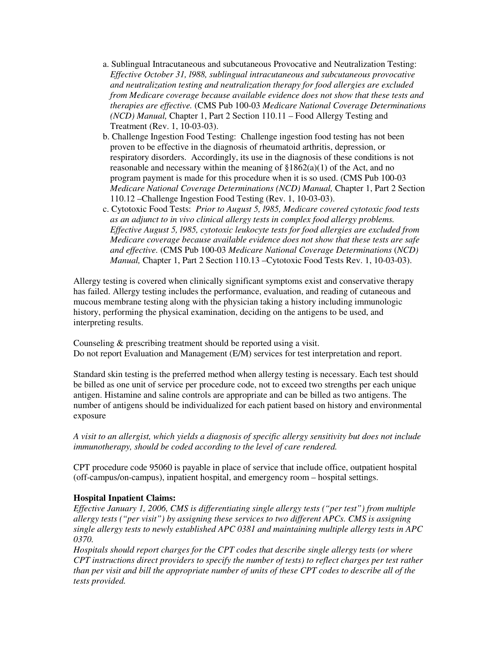- a. Sublingual Intracutaneous and subcutaneous Provocative and Neutralization Testing: *Effective October 31, l988, sublingual intracutaneous and subcutaneous provocative and neutralization testing and neutralization therapy for food allergies are excluded from Medicare coverage because available evidence does not show that these tests and therapies are effective.* (CMS Pub 100-03 *Medicare National Coverage Determinations (NCD) Manual,* Chapter 1, Part 2 Section 110.11 – Food Allergy Testing and Treatment (Rev. 1, 10-03-03).
- b. Challenge Ingestion Food Testing: Challenge ingestion food testing has not been proven to be effective in the diagnosis of rheumatoid arthritis, depression, or respiratory disorders. Accordingly, its use in the diagnosis of these conditions is not reasonable and necessary within the meaning of  $$1862(a)(1)$  of the Act, and no program payment is made for this procedure when it is so used. (CMS Pub 100-03 *Medicare National Coverage Determinations (NCD) Manual,* Chapter 1, Part 2 Section 110.12 –Challenge Ingestion Food Testing (Rev. 1, 10-03-03).
- c. Cytotoxic Food Tests: *Prior to August 5, l985, Medicare covered cytotoxic food tests as an adjunct to in vivo clinical allergy tests in complex food allergy problems. Effective August 5, l985, cytotoxic leukocyte tests for food allergies are excluded from Medicare coverage because available evidence does not show that these tests are safe and effective.* (CMS Pub 100-03 *Medicare National Coverage Determinations* (*NCD) Manual,* Chapter 1, Part 2 Section 110.13 –Cytotoxic Food Tests Rev. 1, 10-03-03).

Allergy testing is covered when clinically significant symptoms exist and conservative therapy has failed. Allergy testing includes the performance, evaluation, and reading of cutaneous and mucous membrane testing along with the physician taking a history including immunologic history, performing the physical examination, deciding on the antigens to be used, and interpreting results.

Counseling & prescribing treatment should be reported using a visit. Do not report Evaluation and Management (E/M) services for test interpretation and report.

Standard skin testing is the preferred method when allergy testing is necessary. Each test should be billed as one unit of service per procedure code, not to exceed two strengths per each unique antigen. Histamine and saline controls are appropriate and can be billed as two antigens. The number of antigens should be individualized for each patient based on history and environmental exposure

*A visit to an allergist, which yields a diagnosis of specific allergy sensitivity but does not include immunotherapy, should be coded according to the level of care rendered.* 

CPT procedure code 95060 is payable in place of service that include office, outpatient hospital (off-campus/on-campus), inpatient hospital, and emergency room – hospital settings.

## **Hospital Inpatient Claims:**

*Effective January 1, 2006, CMS is differentiating single allergy tests ("per test") from multiple allergy tests ("per visit") by assigning these services to two different APCs. CMS is assigning single allergy tests to newly established APC 0381 and maintaining multiple allergy tests in APC 0370.* 

*Hospitals should report charges for the CPT codes that describe single allergy tests (or where CPT instructions direct providers to specify the number of tests) to reflect charges per test rather than per visit and bill the appropriate number of units of these CPT codes to describe all of the tests provided.*